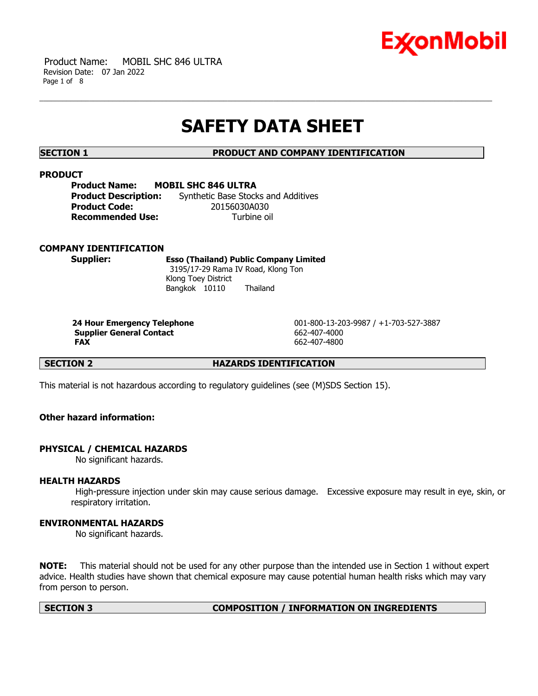

 Product Name: MOBIL SHC 846 ULTRA Revision Date: 07 Jan 2022 Page 1 of 8

# **SAFETY DATA SHEET**

**SECTION 1 PRODUCT AND COMPANY IDENTIFICATION**

# **PRODUCT**

| <b>MOBIL SHC 846 ULTRA</b><br>Product Name: |                                     |
|---------------------------------------------|-------------------------------------|
| <b>Product Description:</b>                 | Synthetic Base Stocks and Additives |
| Product Code:                               | 20156030A030                        |
| <b>Recommended Use:</b>                     | Turbine oil                         |

# **COMPANY IDENTIFICATION**

**Supplier: Esso (Thailand) Public Company Limited** 3195/17-29 Rama IV Road, Klong Ton Klong Toey District Bangkok 10110 Thailand

**Supplier General Contact** 662-407-4000 **FAX** 662-407-4800

**24 Hour Emergency Telephone** 001-800-13-203-9987 / +1-703-527-3887

**SECTION 2 HAZARDS IDENTIFICATION**

This material is not hazardous according to regulatory guidelines (see (M)SDS Section 15).

# **Other hazard information:**

# **PHYSICAL / CHEMICAL HAZARDS**

No significant hazards.

# **HEALTH HAZARDS**

High-pressure injection under skin may cause serious damage. Excessive exposure may result in eye, skin, or respiratory irritation.

# **ENVIRONMENTAL HAZARDS**

No significant hazards.

**NOTE:** This material should not be used for any other purpose than the intended use in Section 1 without expert advice. Health studies have shown that chemical exposure may cause potential human health risks which may vary from person to person.

### **SECTION 3 COMPOSITION / INFORMATION ON INGREDIENTS**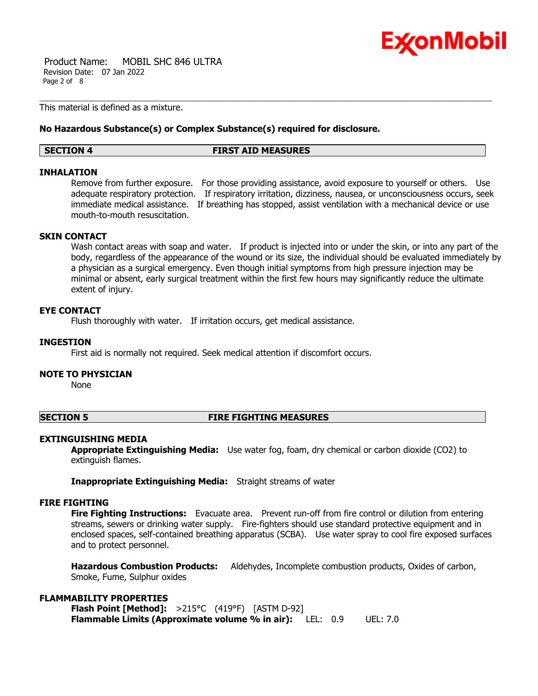

 Product Name: MOBIL SHC 846 ULTRA Revision Date: 07 Jan 2022 Page 2 of 8

This material is defined as a mixture.

# **No Hazardous Substance(s) or Complex Substance(s) required for disclosure.**

### **SECTION 4 FIRST AID MEASURES**

# **INHALATION**

Remove from further exposure. For those providing assistance, avoid exposure to yourself or others. Use adequate respiratory protection. If respiratory irritation, dizziness, nausea, or unconsciousness occurs, seek immediate medical assistance. If breathing has stopped, assist ventilation with a mechanical device or use mouth-to-mouth resuscitation.

# **SKIN CONTACT**

Wash contact areas with soap and water. If product is injected into or under the skin, or into any part of the body, regardless of the appearance of the wound or its size, the individual should be evaluated immediately by a physician as a surgical emergency. Even though initial symptoms from high pressure injection may be minimal or absent, early surgical treatment within the first few hours may significantly reduce the ultimate extent of injury.

# **EYE CONTACT**

Flush thoroughly with water. If irritation occurs, get medical assistance.

# **INGESTION**

First aid is normally not required. Seek medical attention if discomfort occurs.

# **NOTE TO PHYSICIAN**

None

### **SECTION 5 FIRE FIGHTING MEASURES**

# **EXTINGUISHING MEDIA**

**Appropriate Extinguishing Media:** Use water fog, foam, dry chemical or carbon dioxide (CO2) to extinguish flames.

**Inappropriate Extinguishing Media:** Straight streams of water

# **FIRE FIGHTING**

**Fire Fighting Instructions:** Evacuate area. Prevent run-off from fire control or dilution from entering streams, sewers or drinking water supply. Fire-fighters should use standard protective equipment and in enclosed spaces, self-contained breathing apparatus (SCBA). Use water spray to cool fire exposed surfaces and to protect personnel.

**Hazardous Combustion Products:** Aldehydes, Incomplete combustion products, Oxides of carbon, Smoke, Fume, Sulphur oxides

# **FLAMMABILITY PROPERTIES**

**Flash Point [Method]:** >215°C (419°F) [ASTM D-92] **Flammable Limits (Approximate volume % in air):** LEL: 0.9 UEL: 7.0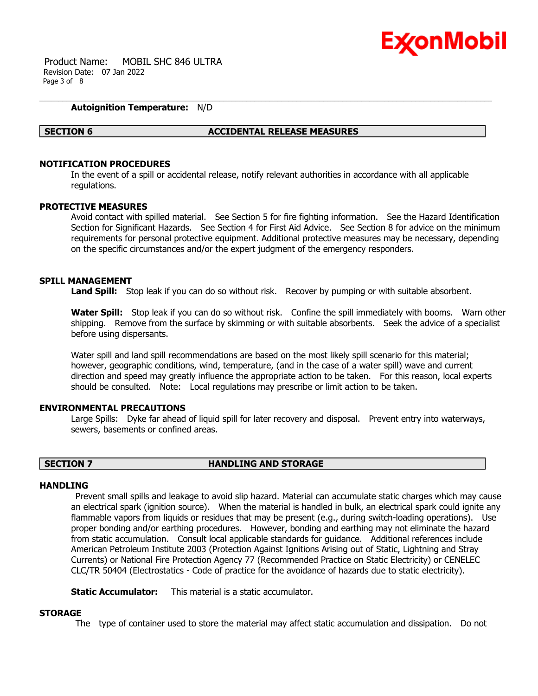

 Product Name: MOBIL SHC 846 ULTRA Revision Date: 07 Jan 2022 Page 3 of 8

# **Autoignition Temperature:** N/D

### **SECTION 6 ACCIDENTAL RELEASE MEASURES**

# **NOTIFICATION PROCEDURES**

In the event of a spill or accidental release, notify relevant authorities in accordance with all applicable regulations.

### **PROTECTIVE MEASURES**

Avoid contact with spilled material. See Section 5 for fire fighting information. See the Hazard Identification Section for Significant Hazards. See Section 4 for First Aid Advice. See Section 8 for advice on the minimum requirements for personal protective equipment. Additional protective measures may be necessary, depending on the specific circumstances and/or the expert judgment of the emergency responders.

### **SPILL MANAGEMENT**

**Land Spill:** Stop leak if you can do so without risk. Recover by pumping or with suitable absorbent.

**Water Spill:** Stop leak if you can do so without risk. Confine the spill immediately with booms. Warn other shipping. Remove from the surface by skimming or with suitable absorbents. Seek the advice of a specialist before using dispersants.

Water spill and land spill recommendations are based on the most likely spill scenario for this material; however, geographic conditions, wind, temperature, (and in the case of a water spill) wave and current direction and speed may greatly influence the appropriate action to be taken. For this reason, local experts should be consulted. Note: Local regulations may prescribe or limit action to be taken.

### **ENVIRONMENTAL PRECAUTIONS**

Large Spills: Dyke far ahead of liquid spill for later recovery and disposal. Prevent entry into waterways, sewers, basements or confined areas.

# **SECTION 7 HANDLING AND STORAGE**

### **HANDI TNG**

Prevent small spills and leakage to avoid slip hazard. Material can accumulate static charges which may cause an electrical spark (ignition source). When the material is handled in bulk, an electrical spark could ignite any flammable vapors from liquids or residues that may be present (e.g., during switch-loading operations). Use proper bonding and/or earthing procedures. However, bonding and earthing may not eliminate the hazard from static accumulation. Consult local applicable standards for guidance. Additional references include American Petroleum Institute 2003 (Protection Against Ignitions Arising out of Static, Lightning and Stray Currents) or National Fire Protection Agency 77 (Recommended Practice on Static Electricity) or CENELEC CLC/TR 50404 (Electrostatics - Code of practice for the avoidance of hazards due to static electricity).

**Static Accumulator:** This material is a static accumulator.

### **STORAGE**

The type of container used to store the material may affect static accumulation and dissipation. Do not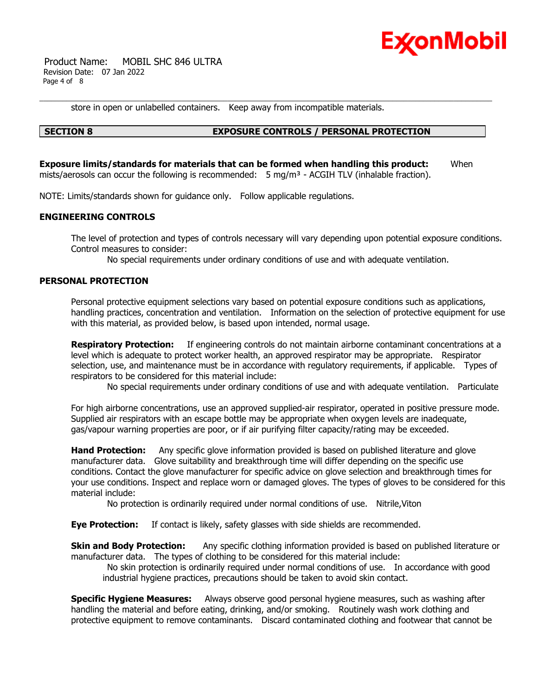

 Product Name: MOBIL SHC 846 ULTRA Revision Date: 07 Jan 2022 Page 4 of 8

store in open or unlabelled containers. Keep away from incompatible materials.

# **SECTION 8 EXPOSURE CONTROLS / PERSONAL PROTECTION**

**Exposure limits/standards for materials that can be formed when handling this product:** When mists/aerosols can occur the following is recommended:  $5 \text{ mg/m}^3$  - ACGIH TLV (inhalable fraction).

NOTE: Limits/standards shown for guidance only. Follow applicable regulations.

# **ENGINEERING CONTROLS**

The level of protection and types of controls necessary will vary depending upon potential exposure conditions. Control measures to consider:

No special requirements under ordinary conditions of use and with adequate ventilation.

# **PERSONAL PROTECTION**

Personal protective equipment selections vary based on potential exposure conditions such as applications, handling practices, concentration and ventilation. Information on the selection of protective equipment for use with this material, as provided below, is based upon intended, normal usage.

**Respiratory Protection:** If engineering controls do not maintain airborne contaminant concentrations at a level which is adequate to protect worker health, an approved respirator may be appropriate. Respirator selection, use, and maintenance must be in accordance with regulatory requirements, if applicable. Types of respirators to be considered for this material include:

No special requirements under ordinary conditions of use and with adequate ventilation. Particulate

For high airborne concentrations, use an approved supplied-air respirator, operated in positive pressure mode. Supplied air respirators with an escape bottle may be appropriate when oxygen levels are inadequate, gas/vapour warning properties are poor, or if air purifying filter capacity/rating may be exceeded.

**Hand Protection:** Any specific glove information provided is based on published literature and glove manufacturer data. Glove suitability and breakthrough time will differ depending on the specific use conditions. Contact the glove manufacturer for specific advice on glove selection and breakthrough times for your use conditions. Inspect and replace worn or damaged gloves. The types of gloves to be considered for this material include:

No protection is ordinarily required under normal conditions of use. Nitrile,Viton

**Eye Protection:** If contact is likely, safety glasses with side shields are recommended.

**Skin and Body Protection:** Any specific clothing information provided is based on published literature or manufacturer data. The types of clothing to be considered for this material include:

No skin protection is ordinarily required under normal conditions of use. In accordance with good industrial hygiene practices, precautions should be taken to avoid skin contact.

**Specific Hygiene Measures:** Always observe good personal hygiene measures, such as washing after handling the material and before eating, drinking, and/or smoking. Routinely wash work clothing and protective equipment to remove contaminants. Discard contaminated clothing and footwear that cannot be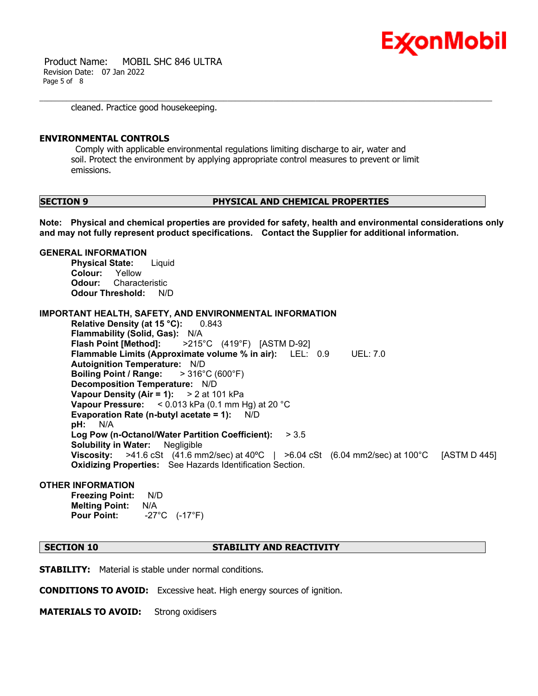

 Product Name: MOBIL SHC 846 ULTRA Revision Date: 07 Jan 2022 Page 5 of 8

cleaned. Practice good housekeeping.

### **ENVIRONMENTAL CONTROLS**

Comply with applicable environmental regulations limiting discharge to air, water and soil. Protect the environment by applying appropriate control measures to prevent or limit emissions.

### **SECTION 9 PHYSICAL AND CHEMICAL PROPERTIES**

**Note: Physical and chemical properties are provided for safety, health and environmental considerations only and may not fully represent product specifications. Contact the Supplier for additional information.**

### **GENERAL INFORMATION**

**Physical State:** Liquid **Colour:** Yellow **Odour:** Characteristic **Odour Threshold:** N/D

**IMPORTANT HEALTH, SAFETY, AND ENVIRONMENTAL INFORMATION**

**Relative Density (at 15 °C):** 0.843 **Flammability (Solid, Gas):** N/A **Flash Point [Method]:** >215°C (419°F) [ASTM D-92] **Flammable Limits (Approximate volume % in air):** LEL: 0.9 UEL: 7.0 **Autoignition Temperature:** N/D **Boiling Point / Range:** > 316°C (600°F) **Decomposition Temperature:** N/D **Vapour Density (Air = 1):** > 2 at 101 kPa **Vapour Pressure:** < 0.013 kPa (0.1 mm Hg) at 20 °C **Evaporation Rate (n-butyl acetate = 1):** N/D **pH:** N/A **Log Pow (n-Octanol/Water Partition Coefficient):** > 3.5 **Solubility in Water:** Negligible **Viscosity:** >41.6 cSt (41.6 mm2/sec) at 40ºC | >6.04 cSt (6.04 mm2/sec) at 100°C [ASTM D 445] **Oxidizing Properties:** See Hazards Identification Section.

# **OTHER INFORMATION**

**Freezing Point:** N/D **Melting Point:** N/A **Pour Point:** -27°C (-17°F)

# **SECTION 10 STABILITY AND REACTIVITY**

**STABILITY:** Material is stable under normal conditions.

**CONDITIONS TO AVOID:** Excessive heat. High energy sources of ignition.

**MATERIALS TO AVOID:** Strong oxidisers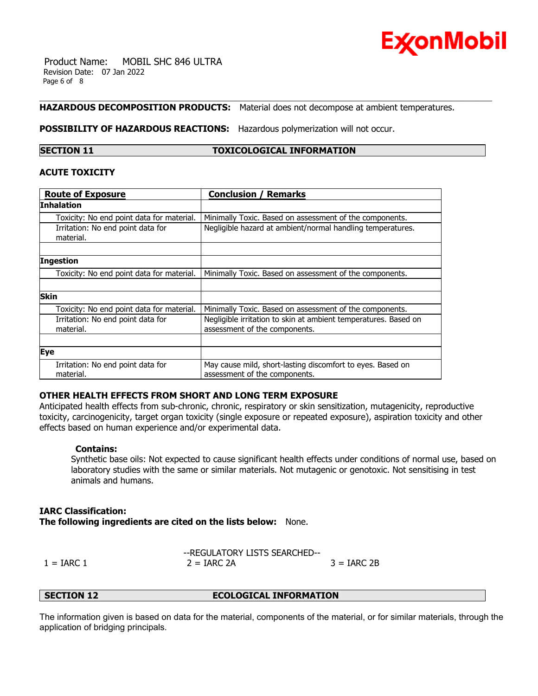

 Product Name: MOBIL SHC 846 ULTRA Revision Date: 07 Jan 2022 Page 6 of 8

# **HAZARDOUS DECOMPOSITION PRODUCTS:** Material does not decompose at ambient temperatures.

**POSSIBILITY OF HAZARDOUS REACTIONS:** Hazardous polymerization will not occur.

# **SECTION 11 TOXICOLOGICAL INFORMATION**

# **ACUTE TOXICITY**

| <b>Route of Exposure</b>                       | <b>Conclusion / Remarks</b>                                                                      |
|------------------------------------------------|--------------------------------------------------------------------------------------------------|
| Inhalation                                     |                                                                                                  |
| Toxicity: No end point data for material.      | Minimally Toxic. Based on assessment of the components.                                          |
| Irritation: No end point data for<br>material. | Negligible hazard at ambient/normal handling temperatures.                                       |
|                                                |                                                                                                  |
| Ingestion                                      |                                                                                                  |
| Toxicity: No end point data for material.      | Minimally Toxic. Based on assessment of the components.                                          |
|                                                |                                                                                                  |
| <b>Skin</b>                                    |                                                                                                  |
| Toxicity: No end point data for material.      | Minimally Toxic. Based on assessment of the components.                                          |
| Irritation: No end point data for<br>material. | Negligible irritation to skin at ambient temperatures. Based on<br>assessment of the components. |
|                                                |                                                                                                  |
| <b>Eye</b>                                     |                                                                                                  |
| Irritation: No end point data for<br>material. | May cause mild, short-lasting discomfort to eyes. Based on<br>assessment of the components.      |

# **OTHER HEALTH EFFECTS FROM SHORT AND LONG TERM EXPOSURE**

Anticipated health effects from sub-chronic, chronic, respiratory or skin sensitization, mutagenicity, reproductive toxicity, carcinogenicity, target organ toxicity (single exposure or repeated exposure), aspiration toxicity and other effects based on human experience and/or experimental data.

# **Contains:**

Synthetic base oils: Not expected to cause significant health effects under conditions of normal use, based on laboratory studies with the same or similar materials. Not mutagenic or genotoxic. Not sensitising in test animals and humans.

# **IARC Classification:**

**The following ingredients are cited on the lists below:** None.

|              | --REGULATORY LISTS SEARCHED-- |               |
|--------------|-------------------------------|---------------|
| $1 = IARC 1$ | $2 = IARC 2A$                 | $3 = IARC 2B$ |

**SECTION 12 ECOLOGICAL INFORMATION**

The information given is based on data for the material, components of the material, or for similar materials, through the application of bridging principals.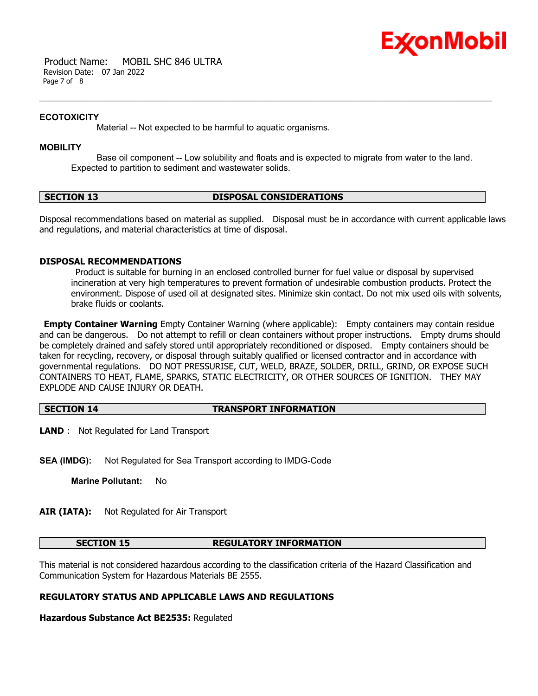

 Product Name: MOBIL SHC 846 ULTRA Revision Date: 07 Jan 2022 Page 7 of 8

# **ECOTOXICITY**

Material -- Not expected to be harmful to aquatic organisms.

# **MOBILITY**

 Base oil component -- Low solubility and floats and is expected to migrate from water to the land. Expected to partition to sediment and wastewater solids.

# **SECTION 13 DISPOSAL CONSIDERATIONS**

Disposal recommendations based on material as supplied. Disposal must be in accordance with current applicable laws and regulations, and material characteristics at time of disposal.

# **DISPOSAL RECOMMENDATIONS**

Product is suitable for burning in an enclosed controlled burner for fuel value or disposal by supervised incineration at very high temperatures to prevent formation of undesirable combustion products. Protect the environment. Dispose of used oil at designated sites. Minimize skin contact. Do not mix used oils with solvents, brake fluids or coolants.

**Empty Container Warning** Empty Container Warning (where applicable): Empty containers may contain residue and can be dangerous. Do not attempt to refill or clean containers without proper instructions. Empty drums should be completely drained and safely stored until appropriately reconditioned or disposed. Empty containers should be taken for recycling, recovery, or disposal through suitably qualified or licensed contractor and in accordance with governmental regulations. DO NOT PRESSURISE, CUT, WELD, BRAZE, SOLDER, DRILL, GRIND, OR EXPOSE SUCH CONTAINERS TO HEAT, FLAME, SPARKS, STATIC ELECTRICITY, OR OTHER SOURCES OF IGNITION. THEY MAY EXPLODE AND CAUSE INJURY OR DEATH.

# **SECTION 14 TRANSPORT INFORMATION**

**LAND** : Not Regulated for Land Transport

**SEA (IMDG):** Not Regulated for Sea Transport according to IMDG-Code

**Marine Pollutant:** No

**AIR (IATA):** Not Regulated for Air Transport

# **SECTION 15 REGULATORY INFORMATION**

This material is not considered hazardous according to the classification criteria of the Hazard Classification and Communication System for Hazardous Materials BE 2555.

# **REGULATORY STATUS AND APPLICABLE LAWS AND REGULATIONS**

**Hazardous Substance Act BE2535:** Regulated